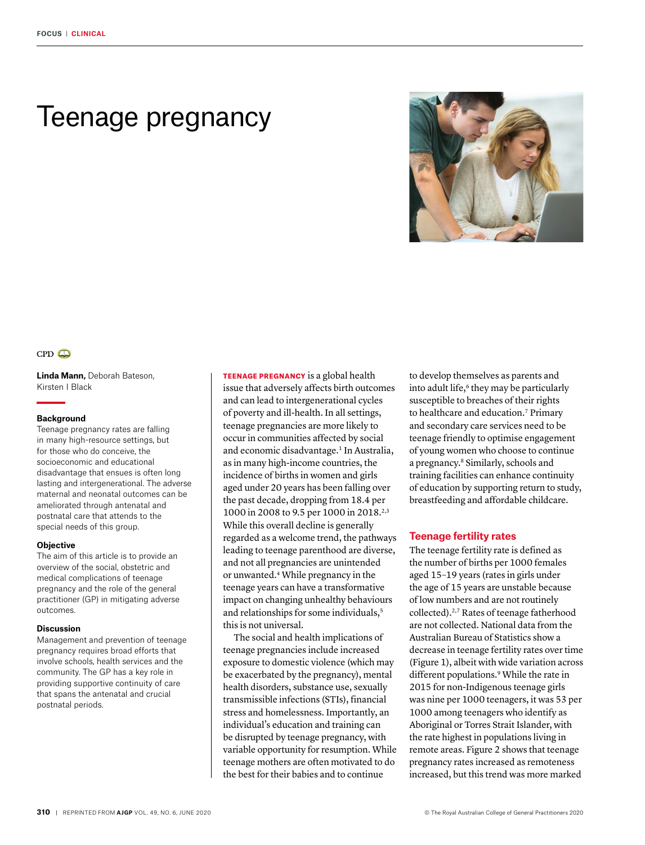# Teenage pregnancy





**Linda Mann,** Deborah Bateson, Kirsten I Black

#### **Background**

Teenage pregnancy rates are falling in many high-resource settings, but for those who do conceive, the socioeconomic and educational disadvantage that ensues is often long lasting and intergenerational. The adverse maternal and neonatal outcomes can be ameliorated through antenatal and postnatal care that attends to the special needs of this group.

#### **Objective**

The aim of this article is to provide an overview of the social, obstetric and medical complications of teenage pregnancy and the role of the general practitioner (GP) in mitigating adverse outcomes.

#### **Discussion**

Management and prevention of teenage pregnancy requires broad efforts that involve schools, health services and the community. The GP has a key role in providing supportive continuity of care that spans the antenatal and crucial postnatal periods.

TEENAGE PREGNANCY is a global health issue that adversely affects birth outcomes and can lead to intergenerational cycles of poverty and ill-health. In all settings, teenage pregnancies are more likely to occur in communities affected by social and economic disadvantage.<sup>1</sup> In Australia, as in many high-income countries, the incidence of births in women and girls aged under 20 years has been falling over the past decade, dropping from 18.4 per 1000 in 2008 to 9.5 per 1000 in 2018.2,3 While this overall decline is generally regarded as a welcome trend, the pathways leading to teenage parenthood are diverse, and not all pregnancies are unintended or unwanted.4 While pregnancy in the teenage years can have a transformative impact on changing unhealthy behaviours and relationships for some individuals,<sup>5</sup> this is not universal.

The social and health implications of teenage pregnancies include increased exposure to domestic violence (which may be exacerbated by the pregnancy), mental health disorders, substance use, sexually transmissible infections (STIs), financial stress and homelessness. Importantly, an individual's education and training can be disrupted by teenage pregnancy, with variable opportunity for resumption. While teenage mothers are often motivated to do the best for their babies and to continue

to develop themselves as parents and into adult life,<sup>6</sup> they may be particularly susceptible to breaches of their rights to healthcare and education.7 Primary and secondary care services need to be teenage friendly to optimise engagement of young women who choose to continue a pregnancy.8 Similarly, schools and training facilities can enhance continuity of education by supporting return to study, breastfeeding and affordable childcare.

## **Teenage fertility rates**

The teenage fertility rate is defined as the number of births per 1000 females aged 15–19 years (rates in girls under the age of 15 years are unstable because of low numbers and are not routinely collected).2,7 Rates of teenage fatherhood are not collected. National data from the Australian Bureau of Statistics show a decrease in teenage fertility rates over time (Figure 1), albeit with wide variation across different populations.<sup>9</sup> While the rate in 2015 for non-Indigenous teenage girls was nine per 1000 teenagers, it was 53 per 1000 among teenagers who identify as Aboriginal or Torres Strait Islander, with the rate highest in populations living in remote areas. Figure 2 shows that teenage pregnancy rates increased as remoteness increased, but this trend was more marked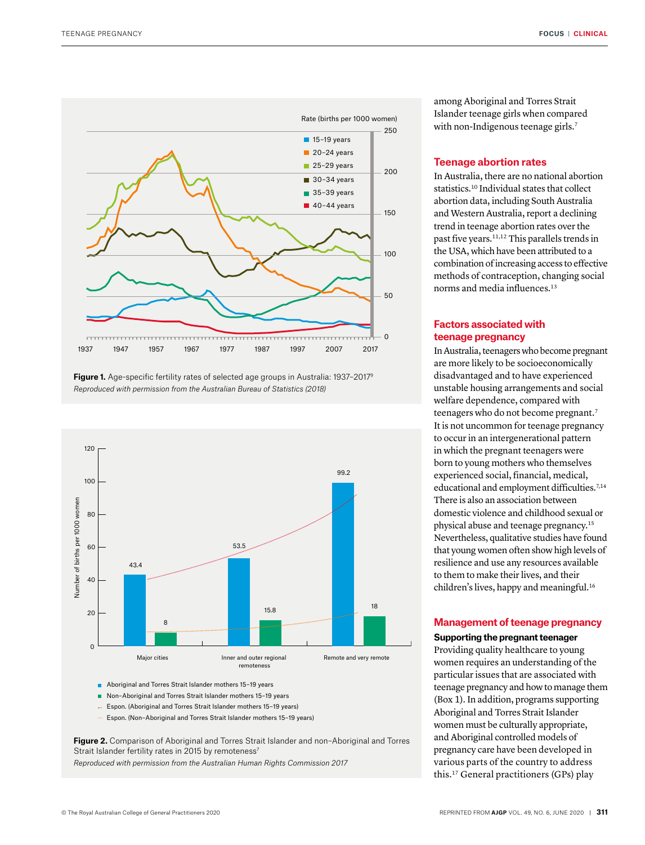

**Figure 1.** Age-specific fertility rates of selected age groups in Australia: 1937–20179 *Reproduced with permission from the Australian Bureau of Statistics (2018)*



■ Aboriginal and Torres Strait Islander mothers 15-19 years

- Non-Aboriginal and Torres Strait Islander mothers 15-19 years
- Espon. (Aboriginal and Torres Strait Islander mothers 15–19 years)
- Espon. (Non–Aboriginal and Torres Strait Islander mothers 15–19 years)

**Figure 2.** Comparison of Aboriginal and Torres Strait Islander and non–Aboriginal and Torres Strait Islander fertility rates in 2015 by remoteness<sup>7</sup>

*Reproduced with permission from the Australian Human Rights Commission 2017*

among Aboriginal and Torres Strait Islander teenage girls when compared with non-Indigenous teenage girls.<sup>7</sup>

## **Teenage abortion rates**

In Australia, there are no national abortion statistics.10 Individual states that collect abortion data, including South Australia and Western Australia, report a declining trend in teenage abortion rates over the past five years.11,12 This parallels trends in the USA, which have been attributed to a combination of increasing access to effective methods of contraception, changing social norms and media influences.<sup>13</sup>

# **Factors associated with teenage pregnancy**

In Australia, teenagers who become pregnant are more likely to be socioeconomically disadvantaged and to have experienced unstable housing arrangements and social welfare dependence, compared with teenagers who do not become pregnant.<sup>7</sup> It is not uncommon for teenage pregnancy to occur in an intergenerational pattern in which the pregnant teenagers were born to young mothers who themselves experienced social, financial, medical, educational and employment difficulties.<sup>7,14</sup> There is also an association between domestic violence and childhood sexual or physical abuse and teenage pregnancy.15 Nevertheless, qualitative studies have found that young women often show high levels of resilience and use any resources available to them to make their lives, and their children's lives, happy and meaningful.<sup>16</sup>

## **Management of teenage pregnancy**

## **Supporting the pregnant teenager**

Providing quality healthcare to young women requires an understanding of the particular issues that are associated with teenage pregnancy and how to manage them (Box 1). In addition, programs supporting Aboriginal and Torres Strait Islander women must be culturally appropriate, and Aboriginal controlled models of pregnancy care have been developed in various parts of the country to address this.17 General practitioners (GPs) play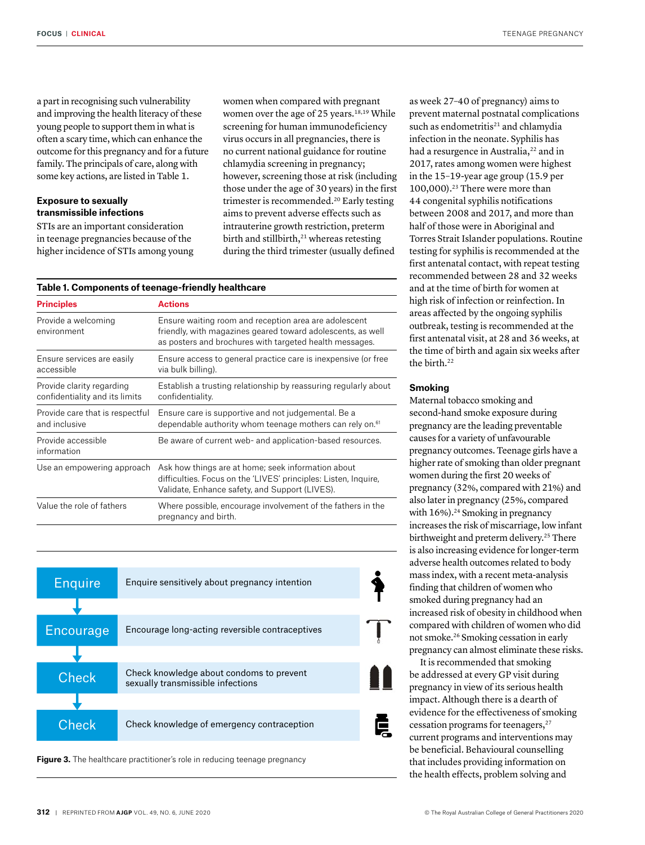a part in recognising such vulnerability and improving the health literacy of these young people to support them in what is often a scary time, which can enhance the outcome for this pregnancy and for a future family. The principals of care, along with some key actions, are listed in Table 1.

# **Exposure to sexually transmissible infections**

STIs are an important consideration in teenage pregnancies because of the higher incidence of STIs among young women when compared with pregnant women over the age of 25 years.<sup>18,19</sup> While screening for human immunodeficiency virus occurs in all pregnancies, there is no current national guidance for routine chlamydia screening in pregnancy; however, screening those at risk (including those under the age of 30 years) in the first trimester is recommended.<sup>20</sup> Early testing aims to prevent adverse effects such as intrauterine growth restriction, preterm birth and stillbirth, $21$  whereas retesting during the third trimester (usually defined

#### **Table 1. Components of teenage-friendly healthcare**

| <b>Principles</b>                                           | <b>Actions</b>                                                                                                                                                                  |
|-------------------------------------------------------------|---------------------------------------------------------------------------------------------------------------------------------------------------------------------------------|
| Provide a welcoming<br>environment                          | Ensure waiting room and reception area are adolescent<br>friendly, with magazines geared toward adolescents, as well<br>as posters and brochures with targeted health messages. |
| Ensure services are easily<br>accessible                    | Ensure access to general practice care is inexpensive (or free<br>via bulk billing).                                                                                            |
| Provide clarity regarding<br>confidentiality and its limits | Establish a trusting relationship by reassuring regularly about<br>confidentiality.                                                                                             |
| Provide care that is respectful<br>and inclusive            | Ensure care is supportive and not judgemental. Be a<br>dependable authority whom teenage mothers can rely on. <sup>61</sup>                                                     |
| Provide accessible<br>information                           | Be aware of current web- and application-based resources.                                                                                                                       |
| Use an empowering approach                                  | Ask how things are at home; seek information about<br>difficulties. Focus on the 'LIVES' principles: Listen, Inquire,<br>Validate, Enhance safety, and Support (LIVES).         |
| Value the role of fathers                                   | Where possible, encourage involvement of the fathers in the<br>pregnancy and birth.                                                                                             |



Figure 3. The healthcare practitioner's role in reducing teenage pregnancy

as week 27–40 of pregnancy) aims to prevent maternal postnatal complications such as endometritis<sup>21</sup> and chlamydia infection in the neonate. Syphilis has had a resurgence in Australia,<sup>22</sup> and in 2017, rates among women were highest in the 15–19-year age group (15.9 per 100,000).23 There were more than 44 congenital syphilis notifications between 2008 and 2017, and more than half of those were in Aboriginal and Torres Strait Islander populations. Routine testing for syphilis is recommended at the first antenatal contact, with repeat testing recommended between 28 and 32 weeks and at the time of birth for women at high risk of infection or reinfection. In areas affected by the ongoing syphilis outbreak, testing is recommended at the first antenatal visit, at 28 and 36 weeks, at the time of birth and again six weeks after the birth.<sup>22</sup>

#### **Smoking**

Maternal tobacco smoking and second-hand smoke exposure during pregnancy are the leading preventable causes for a variety of unfavourable pregnancy outcomes. Teenage girls have a higher rate of smoking than older pregnant women during the first 20 weeks of pregnancy (32%, compared with 21%) and also later in pregnancy (25%, compared with 16%).<sup>24</sup> Smoking in pregnancy increases the risk of miscarriage, low infant birthweight and preterm delivery.<sup>25</sup> There is also increasing evidence for longer-term adverse health outcomes related to body mass index, with a recent meta-analysis finding that children of women who smoked during pregnancy had an increased risk of obesity in childhood when compared with children of women who did not smoke.26 Smoking cessation in early pregnancy can almost eliminate these risks.

It is recommended that smoking be addressed at every GP visit during pregnancy in view of its serious health impact. Although there is a dearth of evidence for the effectiveness of smoking cessation programs for teenagers,<sup>27</sup> current programs and interventions may be beneficial. Behavioural counselling that includes providing information on the health effects, problem solving and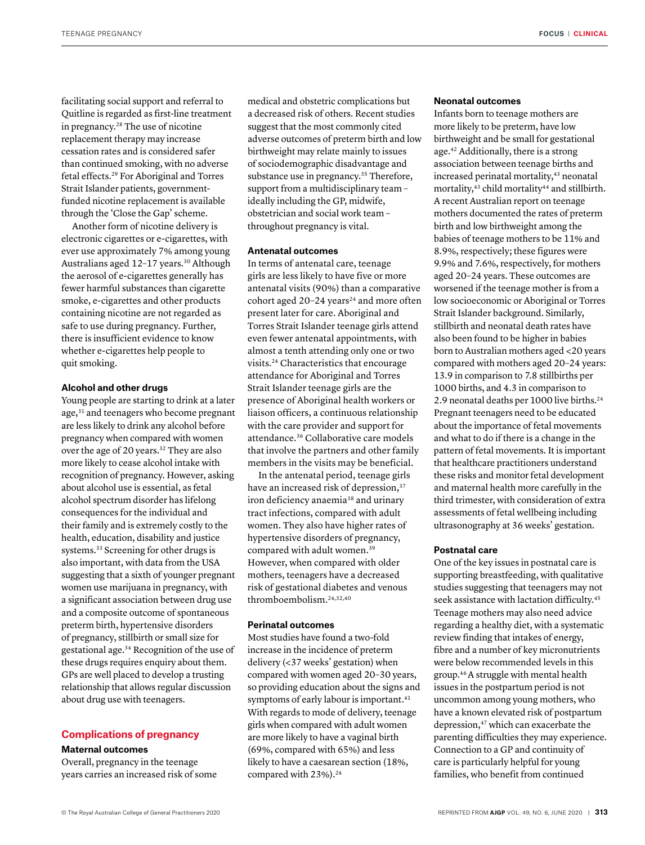facilitating social support and referral to Quitline is regarded as first-line treatment in pregnancy.28 The use of nicotine replacement therapy may increase cessation rates and is considered safer than continued smoking, with no adverse fetal effects.29 For Aboriginal and Torres Strait Islander patients, governmentfunded nicotine replacement is available through the 'Close the Gap' scheme.

Another form of nicotine delivery is electronic cigarettes or e-cigarettes, with ever use approximately 7% among young Australians aged 12–17 years.30 Although the aerosol of e-cigarettes generally has fewer harmful substances than cigarette smoke, e-cigarettes and other products containing nicotine are not regarded as safe to use during pregnancy. Further, there is insufficient evidence to know whether e-cigarettes help people to quit smoking.

#### **Alcohol and other drugs**

Young people are starting to drink at a later age,<sup>31</sup> and teenagers who become pregnant are less likely to drink any alcohol before pregnancy when compared with women over the age of 20 years.<sup>32</sup> They are also more likely to cease alcohol intake with recognition of pregnancy. However, asking about alcohol use is essential, as fetal alcohol spectrum disorder has lifelong consequences for the individual and their family and is extremely costly to the health, education, disability and justice systems.<sup>33</sup> Screening for other drugs is also important, with data from the USA suggesting that a sixth of younger pregnant women use marijuana in pregnancy, with a significant association between drug use and a composite outcome of spontaneous preterm birth, hypertensive disorders of pregnancy, stillbirth or small size for gestational age.34 Recognition of the use of these drugs requires enquiry about them. GPs are well placed to develop a trusting relationship that allows regular discussion about drug use with teenagers.

## **Complications of pregnancy**

## **Maternal outcomes**

Overall, pregnancy in the teenage years carries an increased risk of some medical and obstetric complications but a decreased risk of others. Recent studies suggest that the most commonly cited adverse outcomes of preterm birth and low birthweight may relate mainly to issues of sociodemographic disadvantage and substance use in pregnancy.<sup>35</sup> Therefore, support from a multidisciplinary team – ideally including the GP, midwife, obstetrician and social work team – throughout pregnancy is vital.

### **Antenatal outcomes**

In terms of antenatal care, teenage girls are less likely to have five or more antenatal visits (90%) than a comparative cohort aged  $20-24$  years<sup>24</sup> and more often present later for care. Aboriginal and Torres Strait Islander teenage girls attend even fewer antenatal appointments, with almost a tenth attending only one or two visits.24 Characteristics that encourage attendance for Aboriginal and Torres Strait Islander teenage girls are the presence of Aboriginal health workers or liaison officers, a continuous relationship with the care provider and support for attendance.36 Collaborative care models that involve the partners and other family members in the visits may be beneficial.

In the antenatal period, teenage girls have an increased risk of depression,<sup>37</sup> iron deficiency anaemia<sup>38</sup> and urinary tract infections, compared with adult women. They also have higher rates of hypertensive disorders of pregnancy, compared with adult women.<sup>39</sup> However, when compared with older mothers, teenagers have a decreased risk of gestational diabetes and venous thromboembolism.24,32,40

#### **Perinatal outcomes**

Most studies have found a two-fold increase in the incidence of preterm delivery (<37 weeks' gestation) when compared with women aged 20–30 years, so providing education about the signs and symptoms of early labour is important.<sup>41</sup> With regards to mode of delivery, teenage girls when compared with adult women are more likely to have a vaginal birth (69%, compared with 65%) and less likely to have a caesarean section (18%, compared with 23%).<sup>24</sup>

## **Neonatal outcomes**

Infants born to teenage mothers are more likely to be preterm, have low birthweight and be small for gestational age.42 Additionally, there is a strong association between teenage births and increased perinatal mortality,<sup>43</sup> neonatal mortality, $43$  child mortality $44$  and stillbirth. A recent Australian report on teenage mothers documented the rates of preterm birth and low birthweight among the babies of teenage mothers to be 11% and 8.9%, respectively; these figures were 9.9% and 7.6%, respectively, for mothers aged 20–24 years. These outcomes are worsened if the teenage mother is from a low socioeconomic or Aboriginal or Torres Strait Islander background. Similarly, stillbirth and neonatal death rates have also been found to be higher in babies born to Australian mothers aged <20 years compared with mothers aged 20–24 years: 13.9 in comparison to 7.8 stillbirths per 1000 births, and 4.3 in comparison to 2.9 neonatal deaths per 1000 live births.24 Pregnant teenagers need to be educated about the importance of fetal movements and what to do if there is a change in the pattern of fetal movements. It is important that healthcare practitioners understand these risks and monitor fetal development and maternal health more carefully in the third trimester, with consideration of extra assessments of fetal wellbeing including ultrasonography at 36 weeks' gestation.

## **Postnatal care**

One of the key issues in postnatal care is supporting breastfeeding, with qualitative studies suggesting that teenagers may not seek assistance with lactation difficulty.45 Teenage mothers may also need advice regarding a healthy diet, with a systematic review finding that intakes of energy, fibre and a number of key micronutrients were below recommended levels in this group.46 A struggle with mental health issues in the postpartum period is not uncommon among young mothers, who have a known elevated risk of postpartum depression,<sup>47</sup> which can exacerbate the parenting difficulties they may experience. Connection to a GP and continuity of care is particularly helpful for young families, who benefit from continued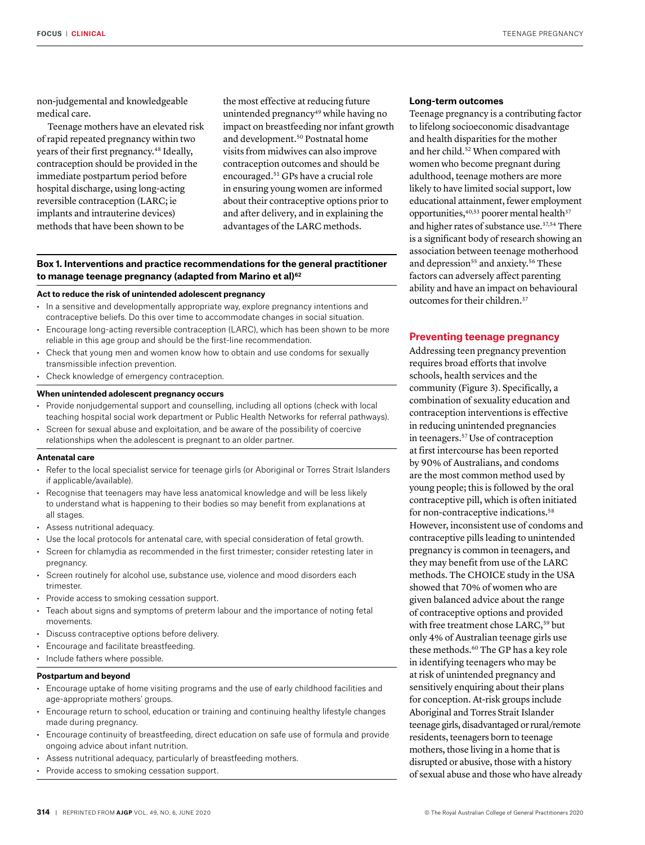non-judgemental and knowledgeable medical care.

Teenage mothers have an elevated risk of rapid repeated pregnancy within two years of their first pregnancy.<sup>48</sup> Ideally, contraception should be provided in the immediate postpartum period before hospital discharge, using long-acting reversible contraception (LARC; ie implants and intrauterine devices) methods that have been shown to be

the most effective at reducing future unintended pregnancy<sup>49</sup> while having no impact on breastfeeding nor infant growth and development.50 Postnatal home visits from midwives can also improve contraception outcomes and should be encouraged.51 GPs have a crucial role in ensuring young women are informed about their contraceptive options prior to and after delivery, and in explaining the advantages of the LARC methods.

## **Box 1. Interventions and practice recommendations for the general practitioner to manage teenage pregnancy (adapted from Marino et al)62**

## **Act to reduce the risk of unintended adolescent pregnancy**

- In a sensitive and developmentally appropriate way, explore pregnancy intentions and contraceptive beliefs. Do this over time to accommodate changes in social situation.
- Encourage long-acting reversible contraception (LARC), which has been shown to be more reliable in this age group and should be the first-line recommendation.
- Check that young men and women know how to obtain and use condoms for sexually transmissible infection prevention.
- Check knowledge of emergency contraception.

#### **When unintended adolescent pregnancy occurs**

- Provide nonjudgemental support and counselling, including all options (check with local teaching hospital social work department or Public Health Networks for referral pathways).
- Screen for sexual abuse and exploitation, and be aware of the possibility of coercive relationships when the adolescent is pregnant to an older partner.

#### **Antenatal care**

- Refer to the local specialist service for teenage girls (or Aboriginal or Torres Strait Islanders if applicable/available).
- Recognise that teenagers may have less anatomical knowledge and will be less likely to understand what is happening to their bodies so may benefit from explanations at all stages.
- Assess nutritional adequacy.
- Use the local protocols for antenatal care, with special consideration of fetal growth.
- Screen for chlamydia as recommended in the first trimester; consider retesting later in pregnancy.
- Screen routinely for alcohol use, substance use, violence and mood disorders each trimester.
- Provide access to smoking cessation support.
- Teach about signs and symptoms of preterm labour and the importance of noting fetal movements.
- Discuss contraceptive options before delivery.
- Encourage and facilitate breastfeeding.
- Include fathers where possible.

#### **Postpartum and beyond**

- Encourage uptake of home visiting programs and the use of early childhood facilities and age-appropriate mothers' groups.
- Encourage return to school, education or training and continuing healthy lifestyle changes made during pregnancy.
- Encourage continuity of breastfeeding, direct education on safe use of formula and provide ongoing advice about infant nutrition.
- Assess nutritional adequacy, particularly of breastfeeding mothers.
- Provide access to smoking cessation support.

#### **Long-term outcomes**

Teenage pregnancy is a contributing factor to lifelong socioeconomic disadvantage and health disparities for the mother and her child.<sup>52</sup> When compared with women who become pregnant during adulthood, teenage mothers are more likely to have limited social support, low educational attainment, fewer employment opportunities, 40,53 poorer mental health<sup>37</sup> and higher rates of substance use.<sup>37,54</sup> There is a significant body of research showing an association between teenage motherhood and depression<sup>55</sup> and anxiety.<sup>56</sup> These factors can adversely affect parenting ability and have an impact on behavioural outcomes for their children.37

## **Preventing teenage pregnancy**

Addressing teen pregnancy prevention requires broad efforts that involve schools, health services and the community (Figure 3). Specifically, a combination of sexuality education and contraception interventions is effective in reducing unintended pregnancies in teenagers.57 Use of contraception at first intercourse has been reported by 90% of Australians, and condoms are the most common method used by young people; this is followed by the oral contraceptive pill, which is often initiated for non-contraceptive indications.<sup>58</sup> However, inconsistent use of condoms and contraceptive pills leading to unintended pregnancy is common in teenagers, and they may benefit from use of the LARC methods. The CHOICE study in the USA showed that 70% of women who are given balanced advice about the range of contraceptive options and provided with free treatment chose LARC,<sup>59</sup> but only 4% of Australian teenage girls use these methods.<sup>60</sup> The GP has a key role in identifying teenagers who may be at risk of unintended pregnancy and sensitively enquiring about their plans for conception. At-risk groups include Aboriginal and Torres Strait Islander teenage girls, disadvantaged or rural/remote residents, teenagers born to teenage mothers, those living in a home that is disrupted or abusive, those with a history of sexual abuse and those who have already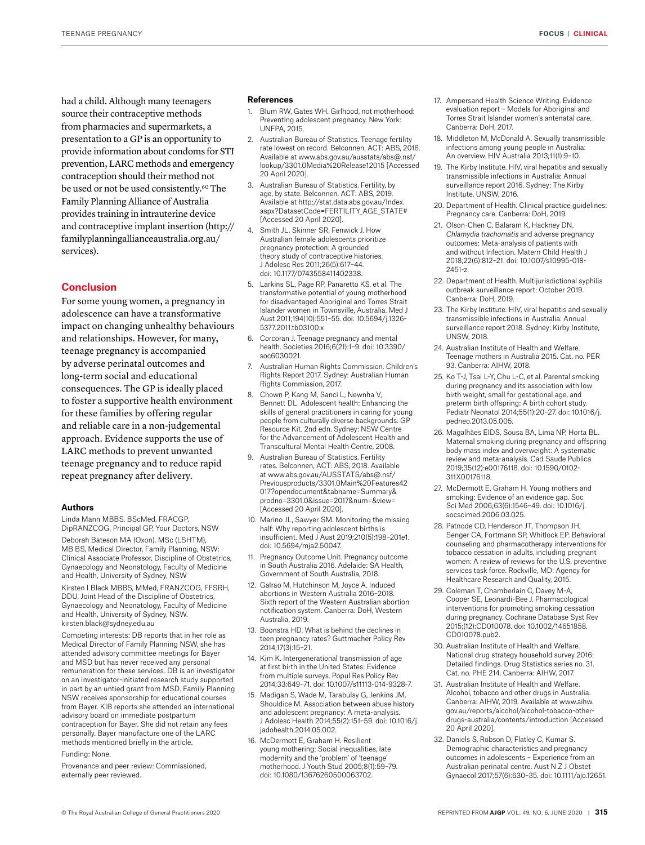had a child. Although many teenagers source their contraceptive methods from pharmacies and supermarkets, a presentation to a GP is an opportunity to provide information about condoms for STI prevention, LARC methods and emergency contraception should their method not be used or not be used consistently.<sup>60</sup> The Family Planning Alliance of Australia provides training in intrauterine device and contraceptive implant insertion (http:// familyplanningallianceaustralia.org.au/ services).

## **Conclusion**

For some young women, a pregnancy in adolescence can have a transformative impact on changing unhealthy behaviours and relationships. However, for many, teenage pregnancy is accompanied by adverse perinatal outcomes and long-term social and educational consequences. The GP is ideally placed to foster a supportive health environment for these families by offering regular and reliable care in a non-judgemental approach. Evidence supports the use of LARC methods to prevent unwanted teenage pregnancy and to reduce rapid repeat pregnancy after delivery.

#### **Authors**

Linda Mann MBBS, BScMed, FRACGP, DipRANZCOG, Principal GP, Your Doctors, NSW

Deborah Bateson MA (Oxon), MSc (LSHTM), MB BS, Medical Director, Family Planning, NSW; Clinical Associate Professor, Discipline of Obstetrics, Gynaecology and Neonatology, Faculty of Medicine and Health, University of Sydney, NSW

Kirsten I Black MBBS, MMed, FRANZCOG, FFSRH, DDU, Joint Head of the Discipline of Obstetrics, Gynaecology and Neonatology, Faculty of Medicine and Health, University of Sydney, NSW. kirsten.black@sydney.edu.au

Competing interests: DB reports that in her role as Medical Director of Family Planning NSW, she has attended advisory committee meetings for Bayer and MSD but has never received any personal remuneration for these services. DB is an investigator on an investigator-initiated research study supported in part by an untied grant from MSD. Family Planning NSW receives sponsorship for educational courses from Bayer. KIB reports she attended an international advisory board on immediate postpartum contraception for Bayer. She did not retain any fees personally. Bayer manufacture one of the LARC methods mentioned briefly in the article.

#### Funding: None.

Provenance and peer review: Commissioned, externally peer reviewed.

#### **References**

- Blum RW, Gates WH. Girlhood, not motherhood: Preventing adolescent pregnancy. New York: UNFPA, 2015.
- 2. Australian Bureau of Statistics. Teenage fertility rate lowest on record. Belconnen, ACT: ABS, 2016. Available at www.abs.gov.au/ausstats/abs@.nsf/ lookup/3301.0Media%20Release12015 [Accessed 20 April 2020].
- 3. Australian Bureau of Statistics. Fertility, by age, by state. Belconnen, ACT: ABS, 2019. Available at http://stat.data.abs.gov.au/Index. aspx?DatasetCode=FERTILITY\_AGE\_STATE# [Accessed 20 April 2020].
- 4. Smith JL, Skinner SR, Fenwick J. How Australian female adolescents prioritize pregnancy protection: A grounded theory study of contraceptive histories. J Adolesc Res 2011;26(5):617–44. doi: 10.1177/0743558411402338.
- 5. Larkins SL, Page RP, Panaretto KS, et al. The transformative potential of young motherhood for disadvantaged Aboriginal and Torres Strait Islander women in Townsville, Australia. Med J Aust 2011;194(10):551–55. doi: 10.5694/j.1326- 5377.2011.tb03100.x
- 6. Corcoran J. Teenage pregnancy and mental health. Societies 2016;6(21):1–9. doi: 10.3390/ soc6030021.
- 7. Australian Human Rights Commission. Children's Rights Report 2017. Sydney: Australian Human Rights Commission, 2017.
- 8. Chown P, Kang M, Sanci L, Newnha V, Bennett DL. Adolescent health: Enhancing the skills of general practitioners in caring for young people from culturally diverse backgrounds. GP Resource Kit. 2nd edn. Sydney: NSW Centre for the Advancement of Adolescent Health and Transcultural Mental Health Centre, 2008.
- 9. Australian Bureau of Statistics. Fertility rates. Belconnen, ACT: ABS, 2018. Available at www.abs.gov.au/AUSSTATS/abs@.nsf/ Previousproducts/3301.0Main%20Features42 017?opendocument&tabname=Summary& prodno=3301.0&issue=2017&num=&view= [Accessed 20 April 2020].
- 10. Marino JL, Sawyer SM. Monitoring the missing half: Why reporting adolescent births is insufficient. Med J Aust 2019;210(5):198–201e1. doi: 10.5694/mja2.50047.
- 11. Pregnancy Outcome Unit. Pregnancy outcome in South Australia 2016. Adelaide: SA Health, Government of South Australia, 2018.
- 12. Galrao M, Hutchinson M, Joyce A. Induced abortions in Western Australia 2016–2018. Sixth report of the Western Australian abortion notification system. Canberra: DoH, Western Australia, 2019.
- 13. Boonstra HD. What is behind the declines in teen pregnancy rates? Guttmacher Policy Rev 2014;17(3):15–21.
- 14. Kim K. Intergenerational transmission of age at first birth in the United States: Evidence from multiple surveys. Popul Res Policy Rev 2014;33:649–71. doi: 10.1007/s11113-014-9328-7.
- 15. Madigan S, Wade M, Tarabulsy G, Jenkins JM, Shouldice M. Association between abuse history and adolescent pregnancy: A meta-analysis. J Adolesc Health 2014;55(2):151–59. doi: 10.1016/j. jadohealth.2014.05.002.
- 16. McDermott E, Graham H. Resilient young mothering: Social inequalities, late modernity and the 'problem' of 'teenage' motherhood. J Youth Stud 2005;8(1):59–79. doi: 10.1080/13676260500063702.
- 17. Ampersand Health Science Writing. Evidence evaluation report – Models for Aboriginal and Torres Strait Islander women's antenatal care. Canberra: DoH, 2017.
- 18. Middleton M, McDonald A. Sexually transmissible infections among young people in Australia: An overview. HIV Australia 2013;11(1):9–10.
- 19. The Kirby Institute. HIV, viral hepatitis and sexually transmissible infections in Australia: Annual surveillance report 2016. Sydney: The Kirby Institute, UNSW, 2016.
- 20. Department of Health. Clinical practice guidelines: Pregnancy care. Canberra: DoH, 2019.
- 21. Olson-Chen C, Balaram K, Hackney DN. *Chlamydia trachomatis* and adverse pregnancy outcomes: Meta-analysis of patients with and without Infection. Matern Child Health J 2018;22(6):812–21. doi: 10.1007/s10995-018- 2451-z.
- 22. Department of Health. Multijurisdictional syphilis outbreak surveillance report: October 2019. Canberra: DoH, 2019.
- 23. The Kirby Institute. HIV, viral hepatitis and sexually transmissible infections in Australia: Annual surveillance report 2018. Sydney: Kirby Institute, UNSW, 2018.
- 24. Australian Institute of Health and Welfare. Teenage mothers in Australia 2015. Cat. no. PER 93. Canberra: AIHW, 2018.
- 25. Ko T-J, Tsai L-Y, Chu L-C, et al. Parental smoking during pregnancy and its association with low birth weight, small for gestational age, and preterm birth offspring: A birth cohort study. Pediatr Neonatol 2014;55(1):20–27. doi: 10.1016/j. pedneo.2013.05.005.
- 26. Magalhães EIDS, Sousa BA, Lima NP, Horta BL. Maternal smoking during pregnancy and offspring body mass index and overweight: A systematic review and meta-analysis. Cad Saude Publica 2019;35(12):e00176118. doi: 10.1590/0102- 311X00176118.
- 27. McDermott E, Graham H. Young mothers and smoking: Evidence of an evidence gap. Soc Sci Med 2006;63(6):1546–49. doi: 10.1016/j. socscimed.2006.03.025.
- 28. Patnode CD, Henderson JT, Thompson JH, Senger CA, Fortmann SP, Whitlock EP. Behavioral counseling and pharmacotherapy interventions for tobacco cessation in adults, including pregnant women: A review of reviews for the U.S. preventive services task force. Rockville, MD: Agency for Healthcare Research and Quality, 2015.
- 29. Coleman T, Chamberlain C, Davey M-A, Cooper SE, Leonardi-Bee J. Pharmacological interventions for promoting smoking cessation during pregnancy. Cochrane Database Syst Rev 2015;(12):CD010078. doi: 10.1002/14651858. CD010078.pub2.
- 30. Australian Institute of Health and Welfare. National drug strategy household survey 2016: Detailed findings. Drug Statistics series no. 31. Cat. no. PHE 214. Canberra: AIHW, 2017.
- 31. Australian Institute of Health and Welfare. Alcohol, tobacco and other drugs in Australia. Canberra: AIHW, 2019. Available at www.aihw. gov.au/reports/alcohol/alcohol-tobacco-otherdrugs-australia/contents/introduction [Accessed 20 April 2020].
- 32. Daniels S, Robson D, Flatley C, Kumar S. Demographic characteristics and pregnancy outcomes in adolescents – Experience from an Australian perinatal centre. Aust N Z J Obstet Gynaecol 2017;57(6):630–35. doi: 10.1111/ajo.12651.